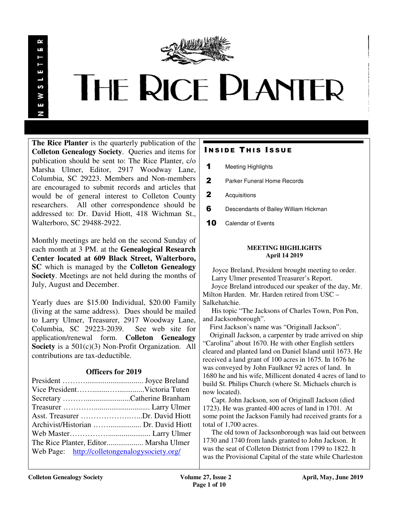

# **THE RICE PLANTER**

**The Rice Planter** is the quarterly publication of the **Colleton Genealogy Society**. Queries and items for publication should be sent to: The Rice Planter, c/o Marsha Ulmer, Editor, 2917 Woodway Lane, Columbia, SC 29223. Members and Non-members are encouraged to submit records and articles that would be of general interest to Colleton County researchers. All other correspondence should be addressed to: Dr. David Hiott, 418 Wichman St., Walterboro, SC 29488-2922.

Monthly meetings are held on the second Sunday of each month at 3 PM. at the **Genealogical Research Center located at 609 Black Street, Walterboro, SC** which is managed by the **Colleton Genealogy Society**. Meetings are not held during the months of July, August and December.

Yearly dues are \$15.00 Individual, \$20.00 Family (living at the same address). Dues should be mailed to Larry Ulmer, Treasurer, 2917 Woodway Lane, Columbia, SC 29223-2039. See web site for application/renewal form. **Colleton Genealogy Society** is a 501(c)(3) Non-Profit Organization. All contributions are tax-deductible.

# **Officers for 2019**

| Asst. Treasurer Dr. David Hiott               |  |
|-----------------------------------------------|--|
|                                               |  |
|                                               |  |
| The Rice Planter, Editor Marsha Ulmer         |  |
| Web Page: http://colletongenalogysociety.org/ |  |

# **INSIDE THIS ISSUE**

- 1 Meeting Highlights
- 2 Parker Funeral Home Records
- 2 Acquisitions
- 6 Descendants of Bailey William Hickman
- 10 Calendar of Events

# **MEETING HIGHLIGHTS April 14 2019**

 Joyce Breland, President brought meeting to order. Larry Ulmer presented Treasurer's Report.

 Joyce Breland introduced our speaker of the day, Mr. Milton Harden. Mr. Harden retired from USC – Salkehatchie.

 His topic "The Jacksons of Charles Town, Pon Pon, and Jacksonborough".

 First Jackson's name was "Originall Jackson". Originall Jackson, a carpenter by trade arrived on ship "Carolina" about 1670. He with other English settlers cleared and planted land on Daniel Island until 1673. He received a land grant of 100 acres in 1675. In 1676 he was conveyed by John Faulkner 92 acres of land. In 1680 he and his wife, Millicent donated 4 acres of land to build St. Philips Church (where St. Michaels church is now located).

 Capt. John Jackson, son of Originall Jackson (died 1723). He was granted 400 acres of land in 1701. At some point the Jackson Family had received grants for a total of 1,700 acres.

 The old town of Jacksonborough was laid out between 1730 and 1740 from lands granted to John Jackson. It was the seat of Colleton District from 1799 to 1822. It was the Provisional Capital of the state while Charleston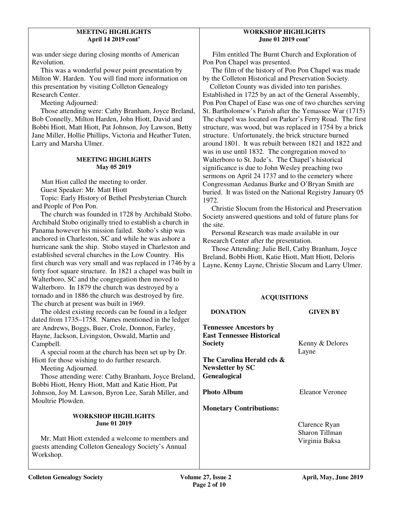#### **MEETING HIGHLIGHTS April 14 2019 cont'**

was under siege during closing months of American Revolution.

 This was a wonderful power point presentation by Milton W. Harden. You will find more information on this presentation by visiting Colleton Genealogy Research Center.

Meeting Adjourned:

 Those attending were: Cathy Branham, Joyce Breland, Bob Connelly, Milton Harden, John Hiott, David and Bobbi Hiott, Matt Hiott, Pat Johnson, Joy Lawson, Betty Jane Miller, Hollie Phillips, Victoria and Heather Tuten, Larry and Marsha Ulmer.

#### **MEETING HIGHLIGHTS May 05 2019**

Matt Hiott called the meeting to order.

Guest Speaker: Mr. Matt Hiott

 Topic: Early History of Bethel Presbyterian Church and People of Pon Pon.

 The church was founded in 1728 by Archibald Stobo. Archibald Stobo originally tried to establish a church in Panama however his mission failed. Stobo's ship was anchored in Charleston, SC and while he was ashore a hurricane sank the ship. Stobo stayed in Charleston and established several churches in the Low Country. His first church was very small and was replaced in 1746 by a forty foot square structure. In 1821 a chapel was built in Walterboro, SC and the congregation then moved to Walterboro. In 1879 the church was destroyed by a tornado and in 1886 the church was destroyed by fire. The church at present was built in 1969.

 The oldest existing records can be found in a ledger dated from 1735–1758. Names mentioned in the ledger are Andrews, Boggs, Buer, Crole, Donnon, Farley, Hayne, Jackson, Livingston, Oswald, Martin and Campbell.

 A special room at the church has been set up by Dr. Hiott for those wishing to do further research.

Meeting Adjourned.

 Those attending were: Cathy Branham, Joyce Breland, Bobbi Hiott, Henry Hiott, Matt and Katie Hiott, Pat Johnson, Joy M. Lawson, Byron Lee, Sarah Miller, and Moultrie Plowden.

# **WORKSHOP HIGHLIGHTS June 01 2019**

 Mr. Matt Hiott extended a welcome to members and guests attending Colleton Genealogy Society's Annual Workshop.

### **WORKSHOP HIGHLIGHTS June 01 2019 cont'**

Film entitled The Burnt Church and Exploration of Pon Pon Chapel was presented.

 The film of the history of Pon Pon Chapel was made by the Colleton Historical and Preservation Society.

 Colleton County was divided into ten parishes. Established in 1725 by an act of the General Assembly, Pon Pon Chapel of Ease was one of two churches serving St. Bartholomew's Parish after the Yemassee War (1715) The chapel was located on Parker's Ferry Road. The first structure, was wood, but was replaced in 1754 by a brick structure. Unfortunately, the brick structure burned around 1801. It was rebuilt between 1821 and 1822 and was in use until 1832. The congregation moved to Walterboro to St. Jude's. The Chapel's historical significance is due to John Wesley preaching two sermons on April 24 1737 and to the cemetery where Congressman Aedanus Burke and O'Bryan Smith are buried. It was listed on the National Registry January 05 1972.

 Christie Slocum from the Historical and Preservation Society answered questions and told of future plans for the site.

 Personal Research was made available in our Research Center after the presentation.

 Those Attending: Julie Bell, Cathy Branham, Joyce Breland, Bobbi Hiott, Katie Hiott, Matt Hiott, Deloris Layne, Kenny Layne, Christie Slocum and Larry Ulmer.

# **ACQUISITIONS**

# **DONATION GIVEN BY**

**Tennessee Ancestors by East Tennessee Historical Society Kenny & Delores** 

**The Carolina Herald cds & Newsletter by SC Genealogical** 

**Monetary Contributions:** 

Layne

**Photo Album Eleanor Veronee** 

Clarence Ryan Sharon Tillman Virginia Baksa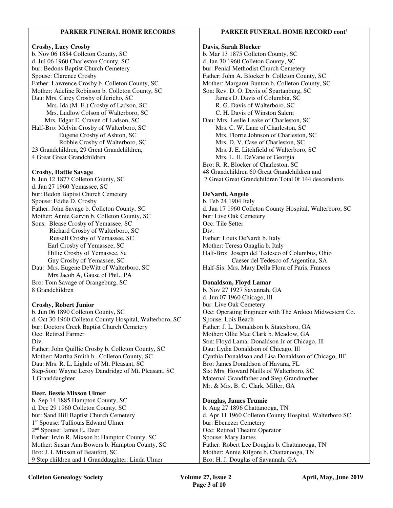#### **PARKER FUNERAL HOME RECORDS Crosby, Lucy Crosby**  b. Nov 06 1884 Colleton County, SC d. Jul 06 1960 Charleston County, SC bur: Bedons Baptist Church Cemetery Spouse: Clarence Crosby Father: Lawrence Crosby b. Colleton County, SC Mother: Adeline Robinson b. Colleton County, SC Dau: Mrs. Carey Crosby of Jericho, SC Mrs. Ida (M. E.) Crosby of Ladson, SC Mrs. Ludlow Colson of Walterboro, SC Mrs. Edgar E. Craven of Ladson, SC Half-Bro: Melvin Crosby of Walterboro, SC Eugene Crosby of Ashton, SC Robbie Crosby of Walterboro, SC 23 Grandchildren, 29 Great Grandchildren, 4 Great Great Grandchildren **Crosby, Hattie Savage**  b. Jun 12 1877 Colleton County, SC d. Jan 27 1960 Yemassee, SC bur: Bedon Baptist Church Cemetery Spouse: Eddie D. Crosby Father: John Savage b. Colleton County, SC Mother: Annie Garvin b. Colleton County, SC Sons: Blease Crosby of Yemassee, SC Richard Crosby of Walterboro, SC Russell Crosby of Yemassee, SC Earl Crosby of Yemassee, SC Hillie Crosby of Yemassee, Sc Guy Crosby of Yemassee, SC Dau: Mrs. Eugene DeWitt of Walterboro, SC Mrs.Jacob A, Gause of Phil., PA Bro: Tom Savage of Orangeburg, SC 8 Grandchildren **Crosby, Robert Junior**  b. Jun 06 1890 Colleton County, SC d. Oct 30 1960 Colleton County Hospital, Walterboro, SC bur: Doctors Creek Baptist Church Cemetery Occ: Retired Farmer Div. Father: John Quillie Crosby b. Colleton County, SC Mother: Martha Smith b . Colleton County, SC Dau: Mrs. R. L. Lightle of Mt. Pleasant, SC Step-Son: Wayne Leroy Dandridge of Mt. Pleasant, SC 1 Granddaughter **Deer, Bessie Mixson Ulmer**  b. Sep 14 1885 Hampton County, SC d, Dec 29 1960 Colleton County, SC bur: Sand Hill Baptist Church Cemetery 1 st Spouse: Tulliouis Edward Ulmer 2 nd Spouse: James E. Deer Father: Irvin R. Mixson b: Hampton County, SC Mother: Susan Ann Bowers b. Hampton County, SC Bro: J. I. Mixson of Beaufort, SC 9 Step children and 1 Granddaughter: Linda Ulmer **PARKER FUNERAL HOME RECORD cont' Davis, Sarah Blocker**  b. Mar 13 1875 Colleton County, SC d. Jan 30 1960 Colleton County, SC bur: Penial Methodist Church Cemetery Father: John A. Blocker b. Colleton County, SC Mother: Margaret Bunton b. Colleton County, SC Son: Rev. D. O. Davis of Spartanburg, SC James D. Davis of Columbia, SC R. G. Davis of Walterboro, SC C. H. Davis of Winston Salem Dau: Mrs. Leslie Leake of Charleston, SC Mrs. C. W. Lane of Charleston, SC Mrs. Florrie Johnson of Charleston, SC Mrs. D. V. Case of Charleston, SC Mrs. J. E. Litchfield of Walterboro, SC Mrs. L. H. DeVane of Georgia Bro: R. R. Blocker of Charleston, SC 48 Grandchildren 60 Great Grandchildren and 7 Great Great Grandchildren Total 0f 144 descendants **DeNardi, Angelo**  b. Feb 24 1904 Italy d. Jan 17 1960 Colleton County Hospital, Walterboro, SC bur: Live Oak Cemetery Occ: Tile Setter Div. Father: Louis DeNardi b. Italy Mother: Teresa Onaglia b. Italy Half-Bro: Joseph del Tedesco of Columbus, Ohio Caeser del Tedesco of Argentina, SA Half-Sis: Mrs. Mary Della Flora of Paris, Frances **Donaldson, Floyd Lamar**  b. Nov 27 1927 Savannah, GA d. Jun 07 1960 Chicago, Ill bur: Live Oak Cemetery Occ: Operating Engineer with The Ardoco Midwestern Co. Spouse: Lois Beach Father: J. L. Donaldson b. Statesboro, GA Mother: Ollie Mae Clark b. Meadow, GA Son: Floyd Lamar Donaldson Jr of Chicago, Ill Dau: Lydia Donaldson of Chicago, Ill Cynthia Donaldson and Lisa Donaldson of Chicago, Ill' Bro: James Donaldson of Havana, FL Sis: Mrs. Howard Naills of Walterboro, SC Maternal Grandfather and Step Grandmother Mr. & Mrs. B. C. Clark, Miller, GA **Douglas, James Trumie**  b. Aug 27 1896 Chattanooga, TN d. Apr 11 1960 Colleton County Hospital, Walterboro SC bur: Ebenezer Cemetery Occ: Retired Theatre Operator Spouse: Mary James Father: Robert Lee Douglas b. Chattanooga, TN Mother: Annie Kilgore b. Chattanooga, TN Bro: H. J. Douglas of Savannah, GA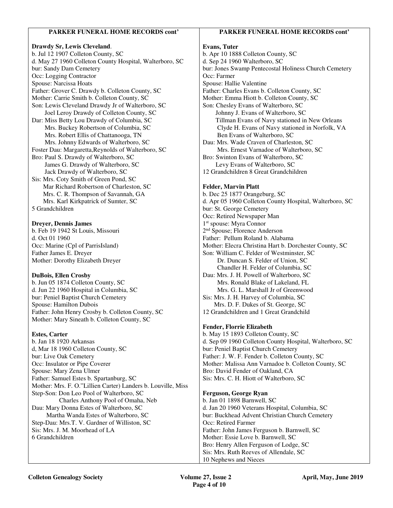# **PARKER FUNERAL HOME RECORDS cont'**

#### **Drawdy Sr, Lewis Cleveland**.

b. Jul 12 1907 Colleton County, SC d. May 27 1960 Colleton County Hospital, Walterboro, SC bur: Sandy Dam Cemetery Occ: Logging Contractor Spouse: Narcissa Hoats Father: Grover C. Drawdy b. Colleton County, SC Mother: Carrie Smith b. Colleton County, SC Son: Lewis Cleveland Drawdy Jr of Walterboro, SC Joel Leroy Drawdy of Colleton County, SC Dar: Miss Betty Lou Drawdy of Columbia, SC Mrs. Buckey Robertson of Columbia, SC Mrs. Robert Ellis of Chattanooga, TN Mrs. Johnny Edwards of Walterboro, SC Foster Dau: Margaretta,Reynolds of Walterboro, SC Bro: Paul S. Drawdy of Walterboro, SC James G. Drawdy of Walterboro, SC Jack Drawdy of Walterboro, SC Sis: Mrs. Coty Smith of Green Pond, SC Mar Richard Robertson of Charleston, SC Mrs. C. R. Thompson of Savannah, GA Mrs. Karl Kirkpatrick of Sumter, SC

5 Grandchildren

#### **Dreyer, Dennis James**

b. Feb 19 1942 St Louis, Missouri d. Oct 01 1960 Occ: Marine (Cpl of ParrisIsland) Father James E. Dreyer Mother: Dorothy Elizabeth Dreyer

#### **DuBois, Ellen Crosby**

b. Jun 05 1874 Colleton County, SC d. Jun 22 1960 Hospital in Columbia, SC bur: Peniel Baptist Church Cemetery Spouse: Hamilton Dubois Father: John Henry Crosby b. Colleton County, SC Mother: Mary Sineath b. Colleton County, SC

#### **Estes, Carter**

b. Jan 18 1920 Arkansas d, Mar 18 1960 Colleton County, SC bur: Live Oak Cemetery Occ: Insulator or Pipe Coverer Spouse: Mary Zena Ulmer Father: Samuel Estes b. Spartanburg, SC Mother: Mrs. F. O."Lillien Carter) Landers b. Louville, Miss Step-Son: Don Leo Pool of Walterboro, SC Charles Anthony Pool of Omaha, Neb Dau: Mary Donna Estes of Walterboro, SC Martha Wanda Estes of Walterboro, SC Step-Dau: Mrs.T. V. Gardner of Williston, SC Sis: Mrs. J. M. Moorhead of LA 6 Grandchildren

# **PARKER FUNERAL HOME RECORDS cont'**

#### **Evans, Tuter**

b. Apr 10 1888 Colleton County, SC d. Sep 24 1960 Walterboro, SC bur: Jones Swamp Pentecostal Holiness Church Cemetery Occ: Farmer Spouse: Hallie Valentine Father: Charles Evans b. Colleton County, SC Mother: Emma Hiott b. Colleton County, SC Son: Chesley Evans of Walterboro, SC Johnny J. Evans of Walterboro, SC Tillman Evans of Navy stationed in New Orleans Clyde H. Evans of Navy stationed in Norfolk, VA Ben Evans of Walterboro, SC Dau: Mrs. Wade Craven of Charleston, SC Mrs. Ernest Varnadoe of Walterboro, SC Bro: Swinton Evans of Walterboro, SC Levy Evans of Walterboro, SC 12 Grandchildren 8 Great Grandchildren **Felder, Marvin Platt**  b. Dec 25 1877 Orangeburg, SC d. Apr 05 1960 Colleton County Hospital, Walterboro, SC bur: St. George Cemetery Occ: Retired Newspaper Man 1 st spouse: Myra Connor 2<sup>nd</sup> Spouse; Florence Anderson Father: Pellum Roland b. Alabama Mother: Elecra Christina Hart b. Dorchester County, SC Son: William C. Felder of Westminster, SC Dr. Duncan S. Felder of Union, SC

 Chandler H. Felder of Columbia, SC Dau: Mrs. J. H. Powell of Walterboro, SC Mrs. Ronald Blake of Lakeland, FL Mrs. G. L. Marshall Jr of Greenwood Sis: Mrs. J. H. Harvey of Columbia, SC Mrs. D. F. Dukes of St. George, SC 12 Grandchildren and 1 Great Grandchild

#### **Fender, Florrie Elizabeth**

b. May 15 1893 Colleton County, SC d. Sep 09 1960 Colleton County Hospital, Walterboro, SC bur: Peniel Baptist Church Cemetery Father: J. W. F. Fender b. Colleton County, SC Mother: Malissa Ann Varnadoe b. Colleton County, SC Bro: David Fender of Oakland, CA Sis: Mrs. C. H. Hiott of Walterboro, SC

#### **Ferguson, George Ryan**

b. Jan 01 1898 Barnwell, SC d. Jan 20 1960 Veterans Hospital, Columbia, SC bur: Buckhead Advent Christian Church Cemetery Occ: Retired Farmer Father: John James Ferguson b. Barnwell, SC Mother: Essie Love b. Barnwell, SC Bro: Henry Allen Ferguson of Lodge, SC Sis: Mrs. Ruth Reeves of Allendale, SC 10 Nephews and Nieces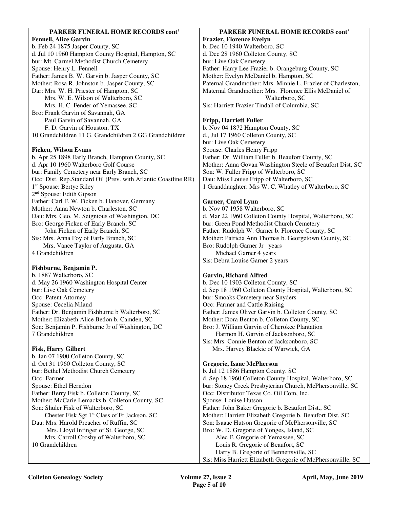#### **PARKER FUNERAL HOME RECORDS cont' Fennell, Alice Garvin**

b. Feb 24 1875 Jasper County, SC d. Jul 10 1960 Hampton County Hospital, Hampton, SC bur: Mt. Carmel Methodist Church Cemetery Spouse: Henry L. Fennell Father: James B. W. Garvin b. Jasper County, SC Mother: Rosa R. Johnston b. Jasper County, SC Dar: Mrs. W. H. Priester of Hampton, SC Mrs. W. E. Wilson of Walterboro, SC Mrs. H. C. Fender of Yemassee, SC Bro: Frank Garvin of Savannah, GA Paul Garvin of Savannah, GA F. D. Garvin of Houston, TX 10 Grandchildren 11 G. Grandchildren 2 GG Grandchildren

#### **Ficken, Wilson Evans**

b. Apr 25 1898 Early Branch, Hampton County, SC d. Apr 10 1960 Walterboro Golf Course bur: Family Cemetery near Early Branch, SC Occ: Dist. Rep.Standard Oil (Prev. with Atlantic Coastline RR) 1 st Spouse: Bertye Riley 2 nd Spouse: Edith Gipson Father: Carl F. W. Ficken b. Hanover, Germany Mother: Anna Newton b. Charleston, SC Dau: Mrs. Geo. M. Seignious of Washington, DC Bro: George Ficken of Early Branch, SC John Ficken of Early Branch, SC Sis: Mrs. Anna Foy of Early Branch, SC Mrs, Vance Taylor of Augusta, GA 4 Grandchildren

#### **Fishburne, Benjamin P.**

b. 1887 Walterboro, SC d. May 26 1960 Washington Hospital Center bur: Live Oak Cemetery Occ: Patent Attorney Spouse: Cecelia Niland Father: Dr. Benjamin Fishburne b Walterboro, SC Mother: Elizabeth Alice Bedon b. Camden, SC Son: Benjamin P. Fishburne Jr of Washington, DC 7 Grandchildren

# **Fisk, Harry Gilbert**

b. Jan 07 1900 Colleton County, SC d. Oct 31 1960 Colleton County, SC bur: Bethel Methodist Church Cemetery Occ: Farmer Spouse: Ethel Herndon Father: Berry Fisk b. Colleton County, SC Mother: McCarie Lemacks b. Colleton County, SC Son: Shuler Fisk of Walterboro, SC Chester Fisk Sgt 1st Class of Ft Jackson, SC Dau: Mrs. Harold Preacher of Ruffin, SC Mrs. Lloyd Infinger of St. George, SC Mrs. Carroll Crosby of Walterboro, SC 10 Grandchildren

# **PARKER FUNERAL HOME RECORDS cont'**

**Frazier, Florence Evelyn**  b. Dec 10 1940 Walterboro, SC d. Dec 28 1960 Colleton County, SC bur: Live Oak Cemetery Father: Harry Lee Frazier b. Orangeburg County, SC Mother: Evelyn McDaniel b. Hampton, SC Paternal Grandmother: Mrs. Minnie L. Frazier of Charleston, Maternal Grandmother: Mrs. Florence Ellis McDaniel of Walterboro, SC Sis: Harriett Frazier Tindall of Columbia, SC

### **Fripp, Harriett Fuller**

b. Nov 04 1872 Hampton County, SC d., Jul 17 1960 Colleton County, SC bur: Live Oak Cemetery Spouse: Charles Henry Fripp Father: Dr. William Fuller b. Beaufort County, SC Mother: Anna Govan Washington Steele of Beaufort Dist, SC Son: W. Fuller Fripp of Walterboro, SC Dau: Miss Louise Fripp of Walterboro, SC 1 Granddaughter: Mrs W. C. Whatley of Walterboro, SC

# **Garner, Carol Lynn**

b. Nov 07 1958 Walterboro, SC d. Mar 22 1960 Colleton County Hospital, Walterboro, SC bur: Green Pond Methodist Church Cemetery Father: Rudolph W. Garner b. Florence County, SC Mother: Patricia Ann Thomas b. Georgetown County, SC Bro: Rudolph Garner Jr years Michael Garner 4 years Sis: Debra Louise Garner 2 years

# **Garvin, Richard Alfred**

b. Dec 10 1903 Colleton County, SC d. Sep 18 1960 Colleton County Hospital, Walterboro, SC bur: Smoaks Cemetery near Snyders Occ: Farmer and Cattle Raising Father: James Oliver Garvin b. Colleton County, SC Mother: Dora Benton b. Colleton County, SC Bro: J. William Garvin of Cherokee Plantation Harmon H. Garvin of Jacksonboro, SC Sis: Mrs. Connie Benton of Jacksonboro, SC Mrs. Harvey Blackie of Warwick, GA

# **Gregorie, Isaac McPherson**

b. Jul 12 1886 Hampton County. SC d. Sep 18 1960 Colleton County Hospital, Walterboro, SC bur: Stoney Creek Presbyterian Church, McPhersonville, SC Occ: Distributor Texas Co. Oil Com, Inc. Spouse: Louise Hutson Father: John Baker Gregorie b. Beaufort Dist., SC Mother: Harriett Elizabeth Gregorie b. Beaufort Dist, SC Son: Isaaac Hutson Gregorie of McPhersonville, SC Bro: W. D. Gregorie of Yonges, Island, SC Alec F. Gregorie of Yemassee, SC Louis R. Gregorie of Beaufort, SC Harry B. Gregorie of Bennettsville, SC Sis: Miss Harriett Elizabeth Gregorie of McPhersonviille, SC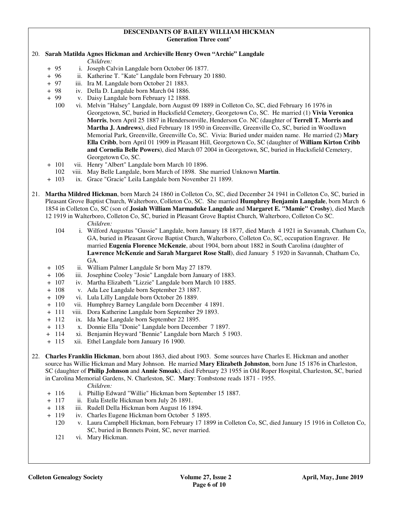#### **DESCENDANTS OF BAILEY WILLIAM HICKMAN Generation Three cont'**

20. **Sarah Matilda Agnes Hickman and Archieville Henry Owen "Archie" Langdale**

#### *Children:*

- + 95 i. Joseph Calvin Langdale born October 06 1877.
- + 96 ii. Katherine T. "Kate" Langdale born February 20 1880.
- + 97 iii. Ira M. Langdale born October 21 1883.
- + 98 iv. Della D. Langdale born March 04 1886.
- + 99 v. Daisy Langdale born February 12 1888.
	- 100 vi. Melvin "Halsey" Langdale, born August 09 1889 in Colleton Co, SC, died February 16 1976 in Georgetown, SC, buried in Hucksfield Cemetery, Georgetown Co, SC. He married (1) **Vivia Veronica Morris**, born April 25 1887 in Hendersonville, Henderson Co. NC (daughter of **Terrell T. Morris and Martha J. Andrews**), died February 18 1950 in Greenville, Greenville Co, SC, buried in Woodlawn Memorial Park, Greenville, Greenville Co, SC. Vivia: Buried under maiden name. He married (2) **Mary Ella Cribb**, born April 01 1909 in Pleasant Hill, Georgetown Co, SC (daughter of **William Kirton Cribb and Cornelia Belle Powers**), died March 07 2004 in Georgetown, SC, buried in Hucksfield Cemetery, Georgetown Co, SC.
- + 101 vii. Henry "Albert" Langdale born March 10 1896.
	- 102 viii. May Belle Langdale, born March of 1898. She married Unknown **Martin**.
- + 103 ix. Grace "Gracie" Leila Langdale born November 21 1899.
- 21. **Martha Mildred Hickman**, born March 24 1860 in Colleton Co, SC, died December 24 1941 in Colleton Co, SC, buried in Pleasant Grove Baptist Church, Walterboro, Colleton Co, SC. She married **Humphrey Benjamin Langdale**, born March 6 1854 in Colleton Co, SC (son of **Josiah William Marmaduke Langdale** and **Margaret E. "Mamie" Crosby**), died March 12 1919 in Walterboro, Colleton Co, SC, buried in Pleasant Grove Baptist Church, Walterboro, Colleton Co SC.

*Children:*

- 104 i. Wilford Augustus "Gussie" Langdale, born January 18 1877, died March 4 1921 in Savannah, Chatham Co, GA, buried in Pleasant Grove Baptist Church, Walterboro, Colleton Co, SC, occupation Engraver. He married **Eugenia Florence McKenzie**, about 1904, born about 1882 in South Carolina (daughter of **Lawrence McKenzie and Sarah Margaret Rose Stall**), died January 5 1920 in Savannah, Chatham Co, GA.
- + 105 ii. William Palmer Langdale Sr born May 27 1879.
- + 106 iii. Josephine Cooley "Josie" Langdale born January of 1883.
- + 107 iv. Martha Elizabeth "Lizzie" Langdale born March 10 1885.
- + 108 v. Ada Lee Langdale born September 23 1887.
- + 109 vi. Lula Lilly Langdale born October 26 1889.
- + 110 vii. Humphrey Barney Langdale born December 4 1891.
- + 111 viii. Dora Katherine Langdale born September 29 1893.
- + 112 ix. Ida Mae Langdale born September 22 1895.
- + 113 x. Donnie Ella "Donie" Langdale born December 7 1897.
- + 114 xi. Benjamin Heyward "Bennie" Langdale born March 5 1903.
- + 115 xii. Ethel Langdale born January 16 1900.
- 22. **Charles Franklin Hickman**, born about 1863, died about 1903. Some sources have Charles E. Hickman and another source has Willie Hickman and Mary Johnson. He married **Mary Elizabeth Johnston**, born June 15 1876 in Charleston, SC (daughter of **Philip Johnson** and **Annie Smoak**), died February 23 1955 in Old Roper Hospital, Charleston, SC, buried in Carolina Memorial Gardens, N. Charleston, SC. **Mary**: Tombstone reads 1871 - 1955.

- + 116 i. Phillip Edward "Willie" Hickman born September 15 1887.
- + 117 ii. Eula Estelle Hickman born July 26 1891.
- + 118 iii. Rudell Della Hickman born August 16 1894.
- + 119 iv. Charles Eugene Hickman born October 5 1895.
	- 120 v. Laura Campbell Hickman, born February 17 1899 in Colleton Co, SC, died January 15 1916 in Colleton Co, SC, buried in Bennets Point, SC, never married.
	- 121 vi. Mary Hickman.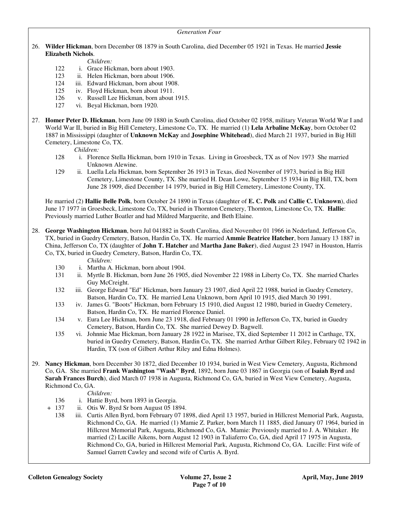*Generation Four*

26. **Wilder Hickman**, born December 08 1879 in South Carolina, died December 05 1921 in Texas. He married **Jessie Elizabeth Nichols**.

*Children:*

- 122 i. Grace Hickman, born about 1903.
- 123 ii. Helen Hickman, born about 1906.
- 124 iii. Edward Hickman, born about 1908.
- 125 iv. Floyd Hickman, born about 1911.
- 126 v. Russell Lee Hickman, born about 1915.
- 127 vi. Beyal Hickman, born 1920.
- 27. **Homer Peter D. Hickman**, born June 09 1880 in South Carolina, died October 02 1958, military Veteran World War I and World War II, buried in Big Hill Cemetery, Limestone Co, TX. He married (1) **Lela Arbaline McKay**, born October 02 1887 in Mississippi (daughter of **Unknown McKay** and **Josephine Whitehead**), died March 21 1937, buried in Big Hill Cemetery, Limestone Co, TX.

*Children:*

- 128 i. Florence Stella Hickman, born 1910 in Texas. Living in Groesbeck, TX as of Nov 1973 She married Unknown Alewine.
- 129 ii. Luella Lela Hickman, born September 26 1913 in Texas, died November of 1973, buried in Big Hill Cemetery, Limestone County, TX. She married H. Dean Lowe, September 15 1934 in Big Hill, TX, born June 28 1909, died December 14 1979, buried in Big Hill Cemetery, Limestone County, TX.

 He married (2) **Hallie Belle Polk**, born October 24 1890 in Texas (daughter of **E. C. Polk** and **Callie C. Unknown**), died June 17 1977 in Groesbeck, Limestone Co, TX, buried in Thornton Cemetery, Thornton, Limestone Co, TX. **Hallie**: Previously married Luther Boatler and had Mildred Marguerite, and Beth Elaine.

28. **George Washington Hickman**, born Jul 041882 in South Carolina, died November 01 1966 in Nederland, Jefferson Co, TX, buried in Guedry Cemetery, Batson, Hardin Co, TX. He married **Ammie Beatrice Hatcher**, born January 13 1887 in China, Jefferson Co, TX (daughter of **John T. Hatcher** and **Martha Jane Baker**), died August 23 1947 in Houston, Harris Co, TX, buried in Guedry Cemetery, Batson, Hardin Co, TX.

*Children:*

- 130 i. Martha A. Hickman, born about 1904.<br>131 ii. Myrtle B. Hickman, born June 26 1905
- ii. Myrtle B. Hickman, born June 26 1905, died November 22 1988 in Liberty Co, TX. She married Charles Guy McCreight.
- 132 iii. George Edward "Ed" Hickman, born January 23 1907, died April 22 1988, buried in Guedry Cemetery, Batson, Hardin Co, TX. He married Lena Unknown, born April 10 1915, died March 30 1991.
- 133 iv. James G. "Boots" Hickman, born February 15 1910, died August 12 1980, buried in Guedry Cemetery, Batson, Hardin Co, TX. He married Florence Daniel.
- 134 v. Eura Lee Hickman, born June 23 1918, died February 01 1990 in Jefferson Co, TX, buried in Guedry Cemetery, Batson, Hardin Co, TX. She married Dewey D. Bagwell.
- 135 vi. Johnnie Mae Hickman, born January 28 1922 in Marisee, TX, died September 11 2012 in Carthage, TX, buried in Guedry Cemetery, Batson, Hardin Co, TX. She married Arthur Gilbert Riley, February 02 1942 in Hardin, TX (son of Gilbert Arthur Riley and Edna Holmes).
- 29. **Nancy Hickman**, born December 30 1872, died December 10 1934, buried in West View Cemetery, Augusta, Richmond Co, GA. She married **Frank Washington "Wash" Byrd**, 1892, born June 03 1867 in Georgia (son of **Isaiah Byrd** and **Sarah Frances Burch**), died March 07 1938 in Augusta, Richmond Co, GA, buried in West View Cemetery, Augusta, Richmond Co, GA.

- 136 i. Hattie Byrd, born 1893 in Georgia.
- + 137 ii. Otis W. Byrd Sr born August 05 1894.
	- 138 iii. Curtis Allen Byrd, born February 07 1898, died April 13 1957, buried in Hillcrest Memorial Park, Augusta, Richmond Co, GA. He married (1) Mamie Z. Parker, born March 11 1885, died January 07 1964, buried in Hillcrest Memorial Park, Augusta, Richmond Co, GA. Mamie: Previously married to J. A. Whitaker. He married (2) Lucille Aikens, born August 12 1903 in Taliaferro Co, GA, died April 17 1975 in Augusta, Richmond Co, GA, buried in Hillcrest Memorial Park, Augusta, Richmond Co, GA. Lucille: First wife of Samuel Garrett Cawley and second wife of Curtis A. Byrd.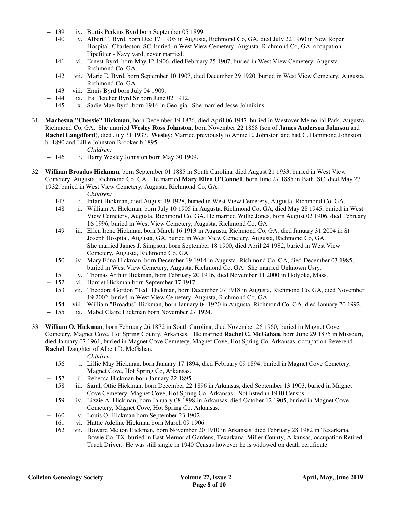- + 139 iv. Burtis Perkins Byrd born September 05 1899.
	- 140 v. Albert T. Byrd, born Dec 17 1905 in Augusta, Richmond Co, GA, died July 22 1960 in New Roper Hospital, Charleston, SC, buried in West View Cemetery, Augusta, Richmond Co, GA, occupation Pipefitter - Navy yard, never married.
	- 141 vi. Ernest Byrd, born May 12 1906, died February 25 1907, buried in West View Cemetery, Augusta, Richmond Co, GA.
	- 142 vii. Marie E. Byrd, born September 10 1907, died December 29 1920, buried in West View Cemetery, Augusta, Richmond Co, GA.
- + 143 viii. Ennis Byrd born July 04 1909.
- + 144 ix. Ira Fletcher Byrd Sr born June 02 1912.
	- 145 x. Sadie Mae Byrd, born 1916 in Georgia. She married Jesse Johnikins.
- 31. **Machesna "Chessie" Hickman**, born December 19 1876, died April 06 1947, buried in Westover Memorial Park, Augusta, Richmond Co, GA. She married **Wesley Ross Johnston**, born November 22 1868 (son of **James Anderson Johnson** and **Rachel Langdford**), died July 31 1937. **Wesley**: Married previously to Annie E. Johnston and had C. Hammond Johnston b. 1890 and Lillie Johnston Brooker b.1895.

*Children:*

- + 146 i. Harry Wesley Johnston born May 30 1909.
- 32. **William Broadus Hickman**, born September 01 1885 in South Carolina, died August 21 1933, buried in West View Cemetery, Augusta, Richmond Co, GA. He married **Mary Ellen O'Connell**, born June 27 1885 in Bath, SC, died May 27 1932, buried in West View Cemetery, Augusta, Richmond Co, GA.

*Children:*

- 147 i. Infant Hickman, died August 19 1928, buried in West View Cemetery, Augusta, Richmond Co, GA.
- 148 ii. William A. Hickman, born July 10 1905 in Augusta, Richmond Co, GA, died May 28 1945, buried in West View Cemetery, Augusta, Richmond Co, GA. He married Willie Jones, born August 02 1906, died February 16 1996, buried in West View Cemetery, Augusta, Richmond Co, GA.
- 149 iii. Ellen Irene Hickman, born March 16 1913 in Augusta, Richmond Co, GA, died January 31 2004 in St Joseph Hospital, Augusta, GA, buried in West View Cemetery, Augusta, Richmond Co, GA. She married James J. Simpson, born September 18 1900, died April 24 1982, buried in West View Cemetery, Augusta, Richmond Co, GA.
- 150 iv. Mary Edna Hickman, born December 19 1914 in Augusta, Richmond Co, GA, died December 03 1985, buried in West View Cemetery, Augusta, Richmond Co, GA. She married Unknown Usry.
- 151 v. Thomas Arthur Hickman, born February 20 1916, died November 11 2000 in Holyoke, Mass.
- + 152 vi. Harriet Hickman born September 17 1917.
	- 153 vii. Theodore Gordon "Ted" Hickman, born December 07 1918 in Augusta, Richmond Co, GA, died November 19 2002, buried in West View Cemetery, Augusta, Richmond Co, GA.
- 154 viii. William "Broadus" Hickman, born January 04 1920 in Augusta, Richmond Co, GA, died January 20 1992.
- + 155 ix. Mabel Claire Hickman born November 27 1924.
- 33. **William O. Hickman**, born February 26 1872 in South Carolina, died November 26 1960, buried in Magnet Cove Cemetery, Magnet Cove, Hot Spring County, Arkansas. He married **Rachel C. McGahan**, born June 29 1875 in Missouri, died January 07 1961, buried in Magnet Cove Cemetery, Magnet Cove, Hot Spring Co, Arkansas, occupation Reverend. **Rachel**: Daughter of Albert D. McGahan.

- 156 i. Lillie May Hickman, born January 17 1894, died February 09 1894, buried in Magnet Cove Cemetery, Magnet Cove, Hot Spring Co, Arkansas.
- + 157 ii. Rebecca Hickman born January 22 1895.
	- 158 iii. Sarah Ottie Hickman, born December 22 1896 in Arkansas, died September 13 1903, buried in Magnet Cove Cemetery, Magnet Cove, Hot Spring Co, Arkansas. Not listed in 1910 Census.
	- 159 iv. Lizzie A. Hickman, born January 08 1898 in Arkansas, died October 12 1905, buried in Magnet Cove Cemetery, Magnet Cove, Hot Spring Co, Arkansas.
- + 160 v. Louis O. Hickman born September 23 1902.
- + 161 vi. Hattie Adeline Hickman born March 09 1906.
- 162 vii. Howard Melton Hickman, born November 20 1910 in Arkansas, died February 28 1982 in Texarkana, Bowie Co, TX, buried in East Memorial Gardens, Texarkana, Miller County, Arkansas, occupation Retired Truck Driver. He was still single in 1940 Census however he is widowed on death certificate.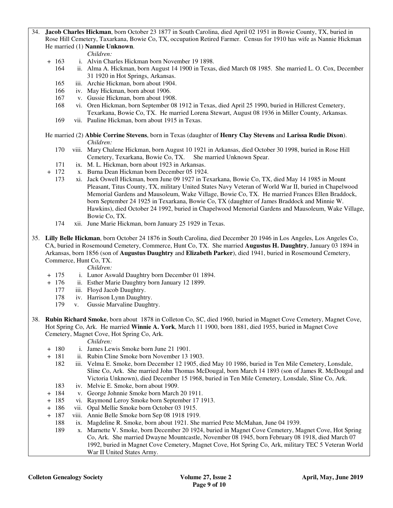34. **Jacob Charles Hickman**, born October 23 1877 in South Carolina, died April 02 1951 in Bowie County, TX, buried in Rose Hill Cemetery, Taxarkana, Bowie Co, TX, occupation Retired Farmer. Census for 1910 has wife as Nannie Hickman He married (1) **Nannie Unknown**.

*Children:*

- + 163 i. Alvin Charles Hickman born November 19 1898.
	- 164 ii. Alma A. Hickman, born August 14 1900 in Texas, died March 08 1985. She married L. O. Cox, December 31 1920 in Hot Springs, Arkansas.
	- 165 iii. Archie Hickman, born about 1904.
	- 166 iv. May Hickman, born about 1906.
	- 167 v. Gussie Hickman, born about 1908.
	- 168 vi. Oren Hickman, born September 08 1912 in Texas, died April 25 1990, buried in Hillcrest Cemetery, Texarkana, Bowie Co, TX. He married Lorena Stewart, August 08 1936 in Miller County, Arkansas.
	- 169 vii. Pauline Hickman, born about 1915 in Texas.
- He married (2) **Abbie Corrine Stevens**, born in Texas (daughter of **Henry Clay Stevens** and **Larissa Rudie Dixon**). *Children:*
	- 170 viii. Mary Chalene Hickman, born August 10 1921 in Arkansas, died October 30 1998, buried in Rose Hill Cemetery, Texarkana, Bowie Co, TX. She married Unknown Spear.
	- 171 ix. M. L. Hickman, born about 1923 in Arkansas.
- + 172 x. Burna Dean Hickman born December 05 1924.
	- 173 xi. Jack Oswell Hickman, born June 09 1927 in Texarkana, Bowie Co, TX, died May 14 1985 in Mount Pleasant, Titus County, TX, military United States Navy Veteran of World War II, buried in Chapelwood Memorial Gardens and Mausoleum, Wake Village, Bowie Co, TX. He married Frances Ellen Braddock, born September 24 1925 in Texarkana, Bowie Co, TX (daughter of James Braddock and Minnie W. Hawkins), died October 24 1992, buried in Chapelwood Memorial Gardens and Mausoleum, Wake Village, Bowie Co, TX.
	- 174 xii. June Marie Hickman, born January 25 1929 in Texas.
- 35. **Lilly Belle Hickman**, born October 24 1876 in South Carolina, died December 20 1946 in Los Angeles, Los Angeles Co, CA, buried in Rosemound Cemetery, Commerce, Hunt Co, TX. She married **Augustus H. Daughtry**, January 03 1894 in Arkansas, born 1856 (son of **Augustus Daughtry** and **Elizabeth Parker**), died 1941, buried in Rosemound Cemetery, Commerce, Hunt Co, TX.

*Children:*

- + 175 i. Lunor Aswald Daughtry born December 01 1894.
- + 176 ii. Esther Marie Daughtry born January 12 1899.
	- 177 iii. Floyd Jacob Daughtry.
	- 178 iv. Harrison Lynn Daughtry.
	- 179 v. Gussie Marvaline Daughtry.
- 38. **Rubin Richard Smoke**, born about 1878 in Colleton Co, SC, died 1960, buried in Magnet Cove Cemetery, Magnet Cove, Hot Spring Co, Ark. He married **Winnie A. York**, March 11 1900, born 1881, died 1955, buried in Magnet Cove Cemetery, Magnet Cove, Hot Spring Co, Ark.

- + 180 i. James Lewis Smoke born June 21 1901.
- + 181 ii. Rubin Cline Smoke born November 13 1903.
	- 182 iii. Velma E. Smoke, born December 12 1905, died May 10 1986, buried in Ten Mile Cemetery, Lonsdale, Sline Co, Ark. She married John Thomas McDougal, born March 14 1893 (son of James R. McDougal and Victoria Unknown), died December 15 1968, buried in Ten Mile Cemetery, Lonsdale, Sline Co, Ark.
	- 183 iv. Melvie E. Smoke, born about 1909.
- + 184 v. George Johnnie Smoke born March 20 1911.
- + 185 vi. Raymond Leroy Smoke born September 17 1913.
- + 186 vii. Opal Mellie Smoke born October 03 1915.
- + 187 viii. Annie Belle Smoke born Sep 08 1918 1919.
- 188 ix. Magdeline R. Smoke, born about 1921. She married Pete McMahan, June 04 1939.
	- 189 x. Marnette V. Smoke, born December 20 1924, buried in Magnet Cove Cemetery, Magnet Cove, Hot Spring Co, Ark. She married Dwayne Mountcastle, November 08 1945, born February 08 1918, died March 07 1992, buried in Magnet Cove Cemetery, Magnet Cove, Hot Spring Co, Ark, military TEC 5 Veteran World War II United States Army.